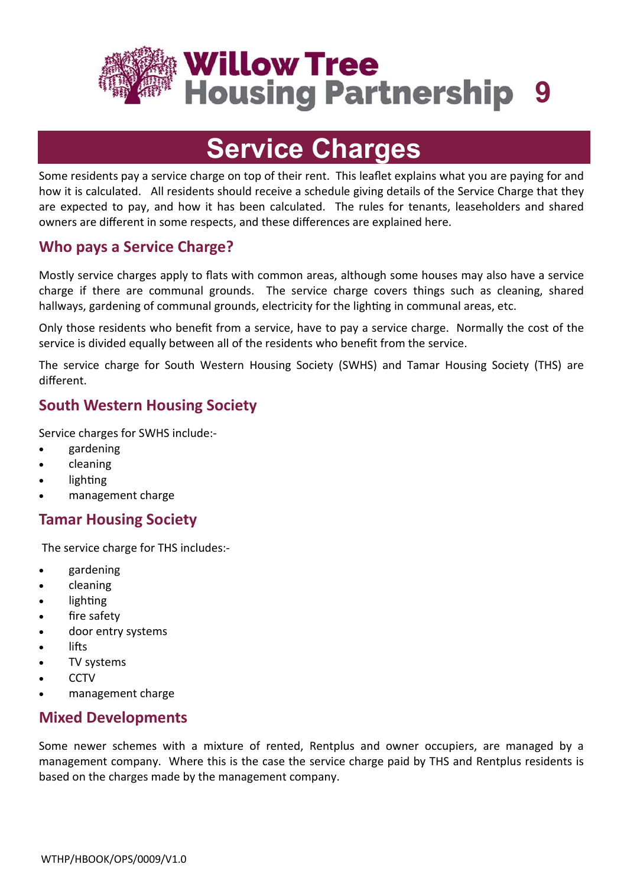

# **Service Charges**

Some residents pay a service charge on top of their rent. This leaflet explains what you are paying for and how it is calculated. All residents should receive a schedule giving details of the Service Charge that they are expected to pay, and how it has been calculated. The rules for tenants, leaseholders and shared owners are different in some respects, and these differences are explained here.

### **Who pays a Service Charge?**

Mostly service charges apply to flats with common areas, although some houses may also have a service charge if there are communal grounds. The service charge covers things such as cleaning, shared hallways, gardening of communal grounds, electricity for the lighting in communal areas, etc.

Only those residents who benefit from a service, have to pay a service charge. Normally the cost of the service is divided equally between all of the residents who benefit from the service.

The service charge for South Western Housing Society (SWHS) and Tamar Housing Society (THS) are different.

# **South Western Housing Society**

Service charges for SWHS include:-

- gardening
- cleaning
- lighting
- management charge

# **Tamar Housing Society**

The service charge for THS includes:-

- gardening
- cleaning
- lighting
- fire safety
- door entry systems
- lifts
- TV systems
- **CCTV**
- management charge

#### **Mixed Developments**

Some newer schemes with a mixture of rented, Rentplus and owner occupiers, are managed by a management company. Where this is the case the service charge paid by THS and Rentplus residents is based on the charges made by the management company.